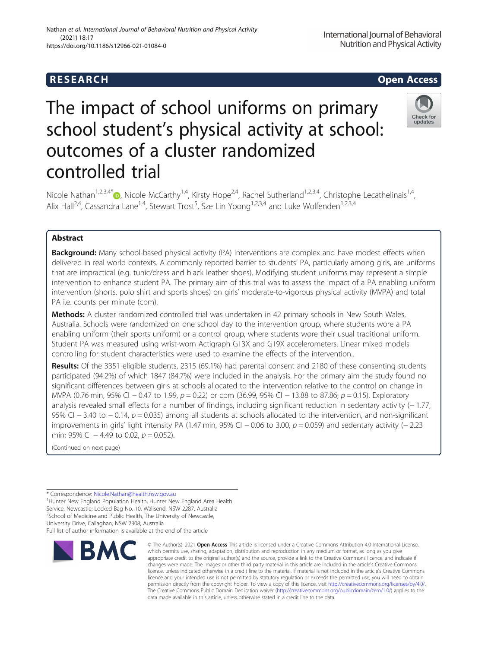controlled trial

# The impact of school uniforms on primary school student's physical activity at school: outcomes of a cluster randomized

Nicole Nathan<sup>1,2,3,4[\\*](http://orcid.org/0000-0002-7726-1714)</sup> $\bullet$ , Nicole McCarthy<sup>1,4</sup>, Kirsty Hope<sup>2,4</sup>, Rachel Sutherland<sup>1,2,3,4</sup>, Christophe Lecathelinais<sup>1,4</sup>, Alix Hall<sup>2,4</sup>, Cassandra Lane<sup>1,4</sup>, Stewart Trost<sup>5</sup>, Sze Lin Yoong<sup>1,2,3,4</sup> and Luke Wolfenden<sup>1,2,3,4</sup>

# Abstract

**Background:** Many school-based physical activity (PA) interventions are complex and have modest effects when delivered in real world contexts. A commonly reported barrier to students' PA, particularly among girls, are uniforms that are impractical (e.g. tunic/dress and black leather shoes). Modifying student uniforms may represent a simple intervention to enhance student PA. The primary aim of this trial was to assess the impact of a PA enabling uniform intervention (shorts, polo shirt and sports shoes) on girls' moderate-to-vigorous physical activity (MVPA) and total PA i.e. counts per minute (cpm).

Methods: A cluster randomized controlled trial was undertaken in 42 primary schools in New South Wales, Australia. Schools were randomized on one school day to the intervention group, where students wore a PA enabling uniform (their sports uniform) or a control group, where students wore their usual traditional uniform. Student PA was measured using wrist-worn Actigraph GT3X and GT9X accelerometers. Linear mixed models controlling for student characteristics were used to examine the effects of the intervention..

Results: Of the 3351 eligible students, 2315 (69.1%) had parental consent and 2180 of these consenting students participated (94.2%) of which 1847 (84.7%) were included in the analysis. For the primary aim the study found no significant differences between girls at schools allocated to the intervention relative to the control on change in MVPA (0.76 min, 95% CI − 0.47 to 1.99, p = 0.22) or cpm (36.99, 95% CI − 13.88 to 87.86, p = 0.15). Exploratory analysis revealed small effects for a number of findings, including significant reduction in sedentary activity (− 1.77, 95% CI − 3.40 to − 0.14, p = 0.035) among all students at schools allocated to the intervention, and non-significant improvements in girls' light intensity PA (1.47 min, 95% CI  $-0.06$  to 3.00,  $p = 0.059$ ) and sedentary activity ( $-2.23$ min; 95% CI  $-4.49$  to 0.02,  $p = 0.052$ ).

(Continued on next page)

\* Correspondence: [Nicole.Nathan@health.nsw.gov.au](mailto:Nicole.Nathan@health.nsw.gov.au) <sup>1</sup>

<sup>1</sup> Hunter New England Population Health, Hunter New England Area Health Service, Newcastle; Locked Bag No. 10, Wallsend, NSW 2287, Australia <sup>2</sup>School of Medicine and Public Health, The University of Newcastle,

University Drive, Callaghan, NSW 2308, Australia Full list of author information is available at the end of the article





<sup>©</sup> The Author(s), 2021 **Open Access** This article is licensed under a Creative Commons Attribution 4.0 International License, which permits use, sharing, adaptation, distribution and reproduction in any medium or format, as long as you give appropriate credit to the original author(s) and the source, provide a link to the Creative Commons licence, and indicate if changes were made. The images or other third party material in this article are included in the article's Creative Commons licence, unless indicated otherwise in a credit line to the material. If material is not included in the article's Creative Commons licence and your intended use is not permitted by statutory regulation or exceeds the permitted use, you will need to obtain permission directly from the copyright holder. To view a copy of this licence, visit [http://creativecommons.org/licenses/by/4.0/.](http://creativecommons.org/licenses/by/4.0/) The Creative Commons Public Domain Dedication waiver [\(http://creativecommons.org/publicdomain/zero/1.0/](http://creativecommons.org/publicdomain/zero/1.0/)) applies to the data made available in this article, unless otherwise stated in a credit line to the data.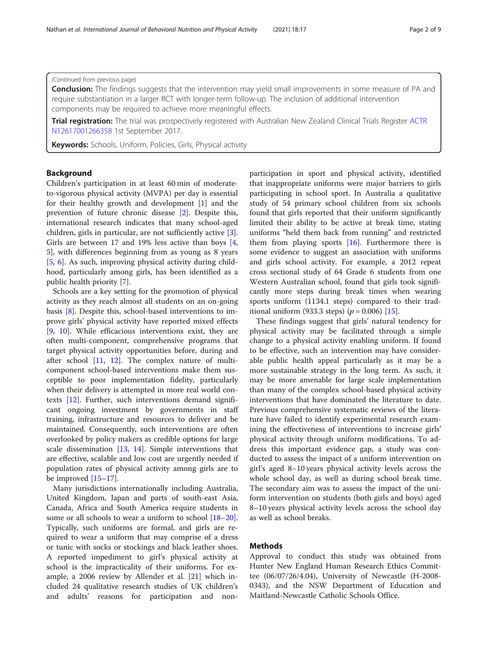## (Continued from previous page)

**Conclusion:** The findings suggests that the intervention may yield small improvements in some measure of PA and require substantiation in a larger RCT with longer-term follow-up. The inclusion of additional intervention components may be required to achieve more meaningful effects.

Trial registration: The trial was prospectively registered with Australian New Zealand Clinical Trials Register [ACTR](https://www.anzctr.org.au/Trial/Registration/TrialReview.aspx?id=373521&showOriginal=true&isReview=true) [N12617001266358](https://www.anzctr.org.au/Trial/Registration/TrialReview.aspx?id=373521&showOriginal=true&isReview=true) 1st September 2017.

Keywords: Schools, Uniform, Policies, Girls, Physical activity

## Background

Children's participation in at least 60 min of moderateto-vigorous physical activity (MVPA) per day is essential for their healthy growth and development [\[1\]](#page-7-0) and the prevention of future chronic disease [\[2](#page-7-0)]. Despite this, international research indicates that many school-aged children, girls in particular, are not sufficiently active [\[3](#page-7-0)]. Girls are between 17 and 19% less active than boys [\[4](#page-7-0), [5\]](#page-7-0), with differences beginning from as young as 8 years [[5,](#page-7-0) [6](#page-7-0)]. As such, improving physical activity during childhood, particularly among girls, has been identified as a public health priority [\[7](#page-7-0)].

Schools are a key setting for the promotion of physical activity as they reach almost all students on an on-going basis [[8\]](#page-7-0). Despite this, school-based interventions to improve girls' physical activity have reported mixed effects [[9,](#page-7-0) [10](#page-8-0)]. While efficacious interventions exist, they are often multi-component, comprehensive programs that target physical activity opportunities before, during and after school [[11](#page-8-0), [12\]](#page-8-0). The complex nature of multicomponent school-based interventions make them susceptible to poor implementation fidelity, particularly when their delivery is attempted in more real world contexts [\[12](#page-8-0)]. Further, such interventions demand significant ongoing investment by governments in staff training, infrastructure and resources to deliver and be maintained. Consequently, such interventions are often overlooked by policy makers as credible options for large scale dissemination [[13,](#page-8-0) [14\]](#page-8-0). Simple interventions that are effective, scalable and low cost are urgently needed if population rates of physical activity among girls are to be improved [\[15](#page-8-0)–[17\]](#page-8-0).

Many jurisdictions internationally including Australia, United Kingdom, Japan and parts of south-east Asia, Canada, Africa and South America require students in some or all schools to wear a uniform to school  $[18–20]$  $[18–20]$  $[18–20]$  $[18–20]$  $[18–20]$ . Typically, such uniforms are formal, and girls are required to wear a uniform that may comprise of a dress or tunic with socks or stockings and black leather shoes. A reported impediment to girl's physical activity at school is the impracticality of their uniforms. For example, a 2006 review by Allender et al. [[21\]](#page-8-0) which included 24 qualitative research studies of UK children's and adults' reasons for participation and non-

participation in sport and physical activity, identified that inappropriate uniforms were major barriers to girls participating in school sport. In Australia a qualitative study of 54 primary school children from six schools found that girls reported that their uniform significantly limited their ability to be active at break time, stating uniforms "held them back from running" and restricted them from playing sports  $[16]$  $[16]$ . Furthermore there is some evidence to suggest an association with uniforms and girls school activity. For example, a 2012 repeat cross sectional study of 64 Grade 6 students from one Western Australian school, found that girls took significantly more steps during break times when wearing sports uniform (1134.1 steps) compared to their traditional uniform (933.3 steps) ( $p = 0.006$ ) [[15\]](#page-8-0).

These findings suggest that girls' natural tendency for physical activity may be facilitated through a simple change to a physical activity enabling uniform. If found to be effective, such an intervention may have considerable public health appeal particularly as it may be a more sustainable strategy in the long term. As such, it may be more amenable for large scale implementation than many of the complex school-based physical activity interventions that have dominated the literature to date. Previous comprehensive systematic reviews of the literature have failed to identify experimental research examining the effectiveness of interventions to increase girls' physical activity through uniform modifications. To address this important evidence gap, a study was conducted to assess the impact of a uniform intervention on girl's aged 8–10 years physical activity levels across the whole school day, as well as during school break time. The secondary aim was to assess the impact of the uniform intervention on students (both girls and boys) aged 8–10 years physical activity levels across the school day as well as school breaks.

# Methods

Approval to conduct this study was obtained from Hunter New England Human Research Ethics Committee (06/07/26/4.04), University of Newcastle (H-2008- 0343), and the NSW Department of Education and Maitland-Newcastle Catholic Schools Office.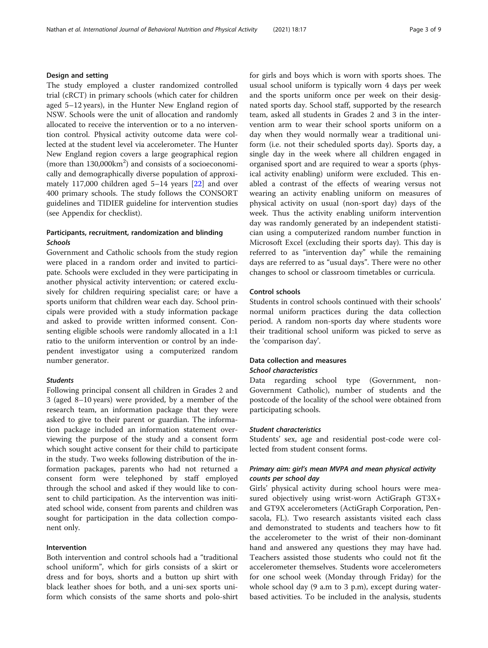## Design and setting

The study employed a cluster randomized controlled trial (cRCT) in primary schools (which cater for children aged 5–12 years), in the Hunter New England region of NSW. Schools were the unit of allocation and randomly allocated to receive the intervention or to a no intervention control. Physical activity outcome data were collected at the student level via accelerometer. The Hunter New England region covers a large geographical region (more than  $130,000$ km<sup>2</sup>) and consists of a socioeconomically and demographically diverse population of approximately 117,000 children aged 5–14 years [[22](#page-8-0)] and over 400 primary schools. The study follows the CONSORT guidelines and TIDIER guideline for intervention studies (see Appendix for checklist).

# Participants, recruitment, randomization and blinding Schools

Government and Catholic schools from the study region were placed in a random order and invited to participate. Schools were excluded in they were participating in another physical activity intervention; or catered exclusively for children requiring specialist care; or have a sports uniform that children wear each day. School principals were provided with a study information package and asked to provide written informed consent. Consenting eligible schools were randomly allocated in a 1:1 ratio to the uniform intervention or control by an independent investigator using a computerized random number generator.

## Students

Following principal consent all children in Grades 2 and 3 (aged 8–10 years) were provided, by a member of the research team, an information package that they were asked to give to their parent or guardian. The information package included an information statement overviewing the purpose of the study and a consent form which sought active consent for their child to participate in the study. Two weeks following distribution of the information packages, parents who had not returned a consent form were telephoned by staff employed through the school and asked if they would like to consent to child participation. As the intervention was initiated school wide, consent from parents and children was sought for participation in the data collection component only.

## Intervention

Both intervention and control schools had a "traditional school uniform", which for girls consists of a skirt or dress and for boys, shorts and a button up shirt with black leather shoes for both, and a uni-sex sports uniform which consists of the same shorts and polo-shirt for girls and boys which is worn with sports shoes. The usual school uniform is typically worn 4 days per week and the sports uniform once per week on their designated sports day. School staff, supported by the research team, asked all students in Grades 2 and 3 in the intervention arm to wear their school sports uniform on a day when they would normally wear a traditional uniform (i.e. not their scheduled sports day). Sports day, a single day in the week where all children engaged in organised sport and are required to wear a sports (physical activity enabling) uniform were excluded. This enabled a contrast of the effects of wearing versus not wearing an activity enabling uniform on measures of physical activity on usual (non-sport day) days of the week. Thus the activity enabling uniform intervention day was randomly generated by an independent statistician using a computerized random number function in Microsoft Excel (excluding their sports day). This day is referred to as "intervention day" while the remaining days are referred to as "usual days". There were no other changes to school or classroom timetables or curricula.

## Control schools

Students in control schools continued with their schools' normal uniform practices during the data collection period. A random non-sports day where students wore their traditional school uniform was picked to serve as the 'comparison day'.

# Data collection and measures

# School characteristics

Data regarding school type (Government, non-Government Catholic), number of students and the postcode of the locality of the school were obtained from participating schools.

## Student characteristics

Students' sex, age and residential post-code were collected from student consent forms.

# Primary aim: girl's mean MVPA and mean physical activity counts per school day

Girls' physical activity during school hours were measured objectively using wrist-worn ActiGraph GT3X+ and GT9X accelerometers (ActiGraph Corporation, Pensacola, FL). Two research assistants visited each class and demonstrated to students and teachers how to fit the accelerometer to the wrist of their non-dominant hand and answered any questions they may have had. Teachers assisted those students who could not fit the accelerometer themselves. Students wore accelerometers for one school week (Monday through Friday) for the whole school day (9 a.m to 3 p.m), except during waterbased activities. To be included in the analysis, students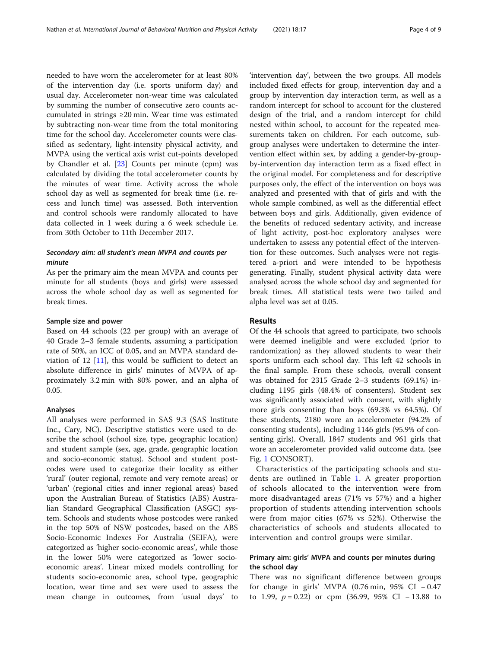needed to have worn the accelerometer for at least 80% of the intervention day (i.e. sports uniform day) and usual day. Accelerometer non-wear time was calculated by summing the number of consecutive zero counts accumulated in strings ≥20 min. Wear time was estimated by subtracting non-wear time from the total monitoring time for the school day. Accelerometer counts were classified as sedentary, light-intensity physical activity, and MVPA using the vertical axis wrist cut-points developed by Chandler et al. [[23\]](#page-8-0) Counts per minute (cpm) was calculated by dividing the total accelerometer counts by the minutes of wear time. Activity across the whole school day as well as segmented for break time (i.e. recess and lunch time) was assessed. Both intervention and control schools were randomly allocated to have data collected in 1 week during a 6 week schedule i.e. from 30th October to 11th December 2017.

# Secondary aim: all student's mean MVPA and counts per minute

As per the primary aim the mean MVPA and counts per minute for all students (boys and girls) were assessed across the whole school day as well as segmented for break times.

#### Sample size and power

Based on 44 schools (22 per group) with an average of 40 Grade 2–3 female students, assuming a participation rate of 50%, an ICC of 0.05, and an MVPA standard deviation of 12  $[11]$  $[11]$  $[11]$ , this would be sufficient to detect an absolute difference in girls' minutes of MVPA of approximately 3.2 min with 80% power, and an alpha of 0.05.

#### Analyses

All analyses were performed in SAS 9.3 (SAS Institute Inc., Cary, NC). Descriptive statistics were used to describe the school (school size, type, geographic location) and student sample (sex, age, grade, geographic location and socio-economic status). School and student postcodes were used to categorize their locality as either 'rural' (outer regional, remote and very remote areas) or 'urban' (regional cities and inner regional areas) based upon the Australian Bureau of Statistics (ABS) Australian Standard Geographical Classification (ASGC) system. Schools and students whose postcodes were ranked in the top 50% of NSW postcodes, based on the ABS Socio-Economic Indexes For Australia (SEIFA), were categorized as 'higher socio-economic areas', while those in the lower 50% were categorized as 'lower socioeconomic areas'. Linear mixed models controlling for students socio-economic area, school type, geographic location, wear time and sex were used to assess the mean change in outcomes, from 'usual days' to

'intervention day', between the two groups. All models included fixed effects for group, intervention day and a group by intervention day interaction term, as well as a random intercept for school to account for the clustered design of the trial, and a random intercept for child nested within school, to account for the repeated measurements taken on children. For each outcome, subgroup analyses were undertaken to determine the intervention effect within sex, by adding a gender-by-groupby-intervention day interaction term as a fixed effect in the original model. For completeness and for descriptive purposes only, the effect of the intervention on boys was analyzed and presented with that of girls and with the whole sample combined, as well as the differential effect between boys and girls. Additionally, given evidence of the benefits of reduced sedentary activity, and increase of light activity, post-hoc exploratory analyses were undertaken to assess any potential effect of the intervention for these outcomes. Such analyses were not registered a-priori and were intended to be hypothesis generating. Finally, student physical activity data were analysed across the whole school day and segmented for break times. All statistical tests were two tailed and alpha level was set at 0.05.

## Results

Of the 44 schools that agreed to participate, two schools were deemed ineligible and were excluded (prior to randomization) as they allowed students to wear their sports uniform each school day. This left 42 schools in the final sample. From these schools, overall consent was obtained for 2315 Grade 2–3 students (69.1%) including 1195 girls (48.4% of consenters). Student sex was significantly associated with consent, with slightly more girls consenting than boys (69.3% vs 64.5%). Of these students, 2180 wore an accelerometer (94.2% of consenting students), including 1146 girls (95.9% of consenting girls). Overall, 1847 students and 961 girls that wore an accelerometer provided valid outcome data. (see Fig. [1](#page-4-0) CONSORT).

Characteristics of the participating schools and students are outlined in Table [1](#page-5-0). A greater proportion of schools allocated to the intervention were from more disadvantaged areas (71% vs 57%) and a higher proportion of students attending intervention schools were from major cities (67% vs 52%). Otherwise the characteristics of schools and students allocated to intervention and control groups were similar.

# Primary aim: girls' MVPA and counts per minutes during the school day

There was no significant difference between groups for change in girls' MVPA (0.76 min, 95% CI − 0.47 to 1.99,  $p = 0.22$ ) or cpm (36.99, 95% CI – 13.88 to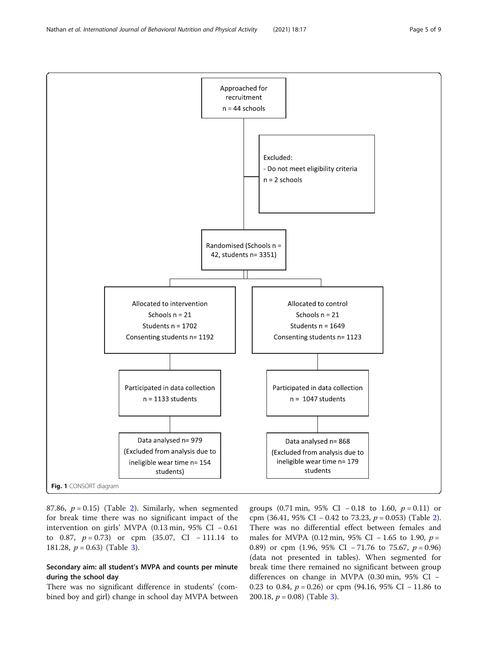<span id="page-4-0"></span>

87.86,  $p = 0.15$ ) (Table [2\)](#page-6-0). Similarly, when segmented for break time there was no significant impact of the intervention on girls' MVPA (0.13 min, 95% CI − 0.61 to 0.87,  $p = 0.73$ ) or cpm (35.07, CI - 111.14 to 181.28,  $p = 0.63$  $p = 0.63$ ) (Table 3).

# Secondary aim: all student's MVPA and counts per minute during the school day

There was no significant difference in students' (combined boy and girl) change in school day MVPA between

groups (0.71 min, 95% CI – 0.18 to 1.60,  $p = 0.11$ ) or cpm (36.41, 95% CI – 0.4[2](#page-6-0) to 73.23,  $p = 0.053$ ) (Table 2). There was no differential effect between females and males for MVPA (0.12 min, 95% CI − 1.65 to 1.90,  $p =$ 0.89) or cpm (1.96, 95% CI – 71.76 to 75.67,  $p = 0.96$ ) (data not presented in tables). When segmented for break time there remained no significant between group differences on change in MVPA (0.30 min, 95% CI − 0.23 to 0.84,  $p = 0.26$ ) or cpm (94.16, 95% CI – 11.86 to 200.18,  $p = 0.08$ ) (Table [3](#page-6-0)).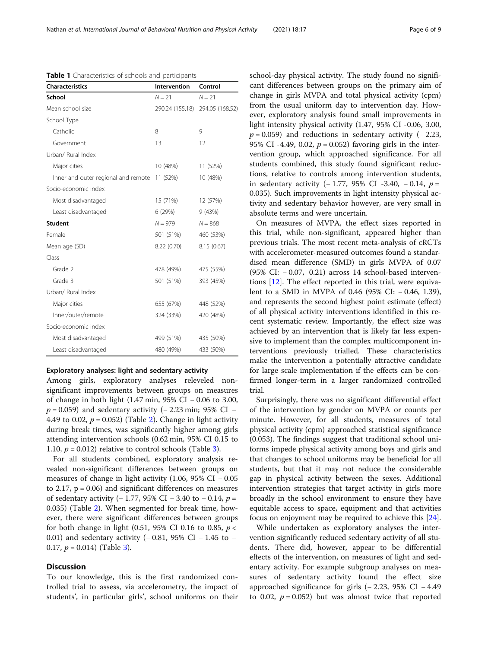<span id="page-5-0"></span>Nathan et al. International Journal of Behavioral Nutrition and Physical Activity (2021) 18:17 Page 6 of 9

Table 1 Characteristics of schools and participants

| <b>Characteristics</b>              | Intervention    | Control         |
|-------------------------------------|-----------------|-----------------|
| School                              | $N = 21$        | $N = 21$        |
| Mean school size                    | 290.24 (155.18) | 294.05 (168.52) |
| School Type                         |                 |                 |
| Catholic                            | 8               | 9               |
| Government                          | 13              | 12              |
| Urban/ Rural Index                  |                 |                 |
| Major cities                        | 10 (48%)        | 11 (52%)        |
| Inner and outer regional and remote | 11 (52%)        | 10 (48%)        |
| Socio-economic index                |                 |                 |
| Most disadvantaged                  | 15 (71%)        | 12 (57%)        |
| Least disadvantaged                 | 6 (29%)         | 9 (43%)         |
| <b>Student</b>                      | $N = 979$       | $N = 868$       |
| Female                              | 501 (51%)       | 460 (53%)       |
| Mean age (SD)                       | 8.22 (0.70)     | 8.15(0.67)      |
| Class                               |                 |                 |
| Grade 2                             | 478 (49%)       | 475 (55%)       |
| Grade 3                             | 501 (51%)       | 393 (45%)       |
| Urban/ Rural Index                  |                 |                 |
| Major cities                        | 655 (67%)       | 448 (52%)       |
| Inner/outer/remote                  | 324 (33%)       | 420 (48%)       |
| Socio-economic index                |                 |                 |
| Most disadvantaged                  | 499 (51%)       | 435 (50%)       |
| Least disadvantaged                 | 480 (49%)       | 433 (50%)       |

#### Exploratory analyses: light and sedentary activity

Among girls, exploratory analyses releveled nonsignificant improvements between groups on measures of change in both light (1.47 min, 95% CI − 0.06 to 3.00,  $p = 0.059$ ) and sedentary activity (−2.23 min; 95% CI − 4.49 to 0.02,  $p = 0.052$ ) (Table [2\)](#page-6-0). Change in light activity during break times, was significantly higher among girls attending intervention schools (0.62 min, 95% CI 0.15 to 1.10,  $p = 0.012$ ) relative to control schools (Table [3\)](#page-6-0).

For all students combined, exploratory analysis revealed non-significant differences between groups on measures of change in light activity (1.06, 95% CI − 0.05 to 2.17,  $p = 0.06$ ) and significant differences on measures of sedentary activity (− 1.77, 95% CI − 3.40 to − 0.14,  $p =$ 0.035) (Table [2\)](#page-6-0). When segmented for break time, however, there were significant differences between groups for both change in light (0.51, 95% CI 0.16 to 0.85,  $p <$ 0.01) and sedentary activity (− 0.81, 95% CI − 1.45 to − 0.17,  $p = 0.014$ ) (Table [3](#page-6-0)).

## **Discussion**

To our knowledge, this is the first randomized controlled trial to assess, via accelerometry, the impact of students', in particular girls', school uniforms on their school-day physical activity. The study found no significant differences between groups on the primary aim of change in girls MVPA and total physical activity (cpm) from the usual uniform day to intervention day. However, exploratory analysis found small improvements in light intensity physical activity (1.47, 95% CI -0.06, 3.00,  $p = 0.059$ ) and reductions in sedentary activity (-2.23, 95% CI -4.49, 0.02,  $p = 0.052$  favoring girls in the intervention group, which approached significance. For all students combined, this study found significant reductions, relative to controls among intervention students, in sedentary activity (− 1.77, 95% CI -3.40, − 0.14,  $p =$ 0.035). Such improvements in light intensity physical activity and sedentary behavior however, are very small in absolute terms and were uncertain.

On measures of MVPA, the effect sizes reported in this trial, while non-significant, appeared higher than previous trials. The most recent meta-analysis of cRCTs with accelerometer-measured outcomes found a standardised mean difference (SMD) in girls MVPA of 0.07 (95% CI: − 0.07, 0.21) across 14 school-based interventions [\[12](#page-8-0)]. The effect reported in this trial, were equivalent to a SMD in MVPA of 0.46 (95% CI: − 0.46, 1.39), and represents the second highest point estimate (effect) of all physical activity interventions identified in this recent systematic review. Importantly, the effect size was achieved by an intervention that is likely far less expensive to implement than the complex multicomponent interventions previously trialled. These characteristics make the intervention a potentially attractive candidate for large scale implementation if the effects can be confirmed longer-term in a larger randomized controlled trial.

Surprisingly, there was no significant differential effect of the intervention by gender on MVPA or counts per minute. However, for all students, measures of total physical activity (cpm) approached statistical significance (0.053). The findings suggest that traditional school uniforms impede physical activity among boys and girls and that changes to school uniforms may be beneficial for all students, but that it may not reduce the considerable gap in physical activity between the sexes. Additional intervention strategies that target activity in girls more broadly in the school environment to ensure they have equitable access to space, equipment and that activities focus on enjoyment may be required to achieve this [\[24](#page-8-0)].

While undertaken as exploratory analyses the intervention significantly reduced sedentary activity of all students. There did, however, appear to be differential effects of the intervention, on measures of light and sedentary activity. For example subgroup analyses on measures of sedentary activity found the effect size approached significance for girls (− 2.23, 95% CI − 4.49 to 0.02,  $p = 0.052$ ) but was almost twice that reported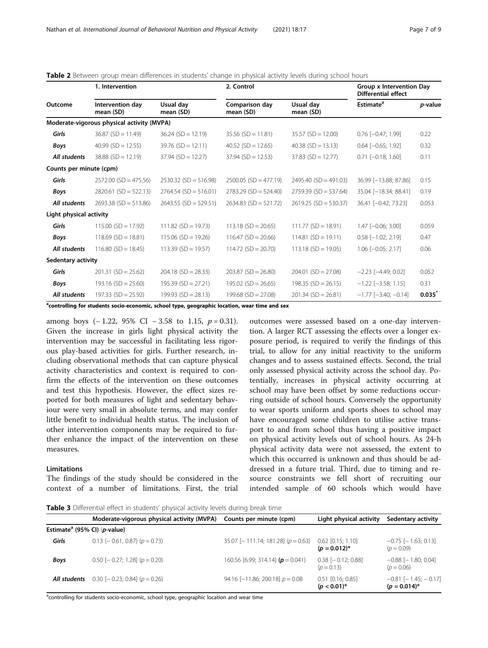|                         | 1. Intervention                            |                         | 2. Control                  |                         | <b>Group x Intervention Day</b><br><b>Differential effect</b> |                 |
|-------------------------|--------------------------------------------|-------------------------|-----------------------------|-------------------------|---------------------------------------------------------------|-----------------|
| Outcome                 | Intervention day<br>mean (SD)              | Usual day<br>mean (SD)  | Comparison day<br>mean (SD) | Usual day<br>mean (SD)  | <b>Estimate<sup>a</sup></b>                                   | <i>p</i> -value |
|                         | Moderate-vigorous physical activity (MVPA) |                         |                             |                         |                                                               |                 |
| Girls                   | $36.87$ (SD = 11.49)                       | $36.24$ (SD = 12.19)    | $35.56$ (SD = 11.81)        | $35.57$ (SD = 12.00)    | $0.76$ $[-0.47; 1.99]$                                        | 0.22            |
| <b>Boys</b>             | 40.99 $(SD = 12.55)$                       | $39.76$ (SD = 12.11)    | $40.52$ (SD = 12.65)        | $40.38$ (SD = 13.13)    | $0.64$ $[-0.65; 1.92]$                                        | 0.32            |
| All students            | $38.88$ (SD = 12.19)                       | $37.94$ (SD = 12.27)    | $37.94$ (SD = 12.53)        | $37.83$ (SD = 12.77)    | $0.71$ $[-0.18; 1.60]$                                        | 0.11            |
| Counts per minute (cpm) |                                            |                         |                             |                         |                                                               |                 |
| Girls                   | $2572.00$ (SD = 475.56)                    | $2530.32$ (SD = 516.98) | $2500.05$ (SD = 477.19)     | $2495.40$ (SD = 491.03) | 36.99 [-13.88; 87.86]                                         | 0.15            |
| Boys                    | $2820.61$ (SD = 522.13)                    | $2764.54$ (SD = 516.01) | $2783.29$ (SD = 524.40)     | $2759.39$ (SD = 537.64) | 35.04 [-18.34; 88.41]                                         | 0.19            |
| All students            | $2693.38$ (SD = 513.86)                    | $2643.55$ (SD = 529.51) | $2634.83$ (SD = 521.72)     | $2619.25$ (SD = 530.37) | 36.41 [-0.42; 73.23]                                          | 0.053           |
| Light physical activity |                                            |                         |                             |                         |                                                               |                 |
| Girls                   | $115.00$ (SD = 17.92)                      | $111.82$ (SD = 19.73)   | $113.18$ (SD = 20.65)       | $111.77$ (SD = 18.91)   | $1.47$ $[-0.06; 3.00]$                                        | 0.059           |
| Boys                    | $118.69$ (SD = 18.81)                      | $115.06$ (SD = 19.26)   | $116.47$ (SD = 20.66)       | $114.81$ (SD = 19.11)   | $0.58$ [ $-1.02$ ; 2.19]                                      | 0.47            |
| All students            | $116.80$ (SD = 18.45)                      | $113.39$ (SD = 19.57)   | $114.72$ (SD = 20.70)       | $113.18$ (SD = 19.05)   | $1.06$ $[-0.05; 2.17]$                                        | 0.06            |
| Sedentary activity      |                                            |                         |                             |                         |                                                               |                 |
| Girls                   | $201.31$ (SD = 25.62)                      | $204.18$ (SD = 28.33)   | $203.87$ (SD = 26.80)       | $204.01$ (SD = 27.08)   | $-2.23$ [ $-4.49; 0.02$ ]                                     | 0.052           |
| <b>Boys</b>             | $193.16$ (SD = 25.60)                      | $195.39$ (SD = 27.21)   | $195.02$ (SD = 26.65)       | $198.35$ (SD = 26.15)   | $-1.22$ [ $-3.58$ ; 1.15]                                     | 0.31            |
| All students            | $197.33$ (SD = 25.92)                      | $199.93$ (SD = 28.13)   | $199.68$ (SD = 27.08)       | $201.34$ (SD = 26.81)   | $-1.77$ [ $-3.40$ : $-0.14$ ]                                 | $0.035^{*}$     |

<span id="page-6-0"></span>Table 2 Between group mean differences in students' change in physical activity levels during school hours

<sup>a</sup>controlling for students socio-economic, school type, geographic location, wear time and sex

among boys  $(-1.22, 95\% \text{ CI} - 3.58 \text{ to } 1.15, p = 0.31).$ Given the increase in girls light physical activity the intervention may be successful in facilitating less rigorous play-based activities for girls. Further research, including observational methods that can capture physical activity characteristics and context is required to confirm the effects of the intervention on these outcomes and test this hypothesis. However, the effect sizes reported for both measures of light and sedentary behaviour were very small in absolute terms, and may confer little benefit to individual health status. The inclusion of other intervention components may be required to further enhance the impact of the intervention on these measures.

## Limitations

The findings of the study should be considered in the context of a number of limitations. First, the trial

outcomes were assessed based on a one-day intervention. A larger RCT assessing the effects over a longer exposure period, is required to verify the findings of this trial, to allow for any initial reactivity to the uniform changes and to assess sustained effects. Second, the trial only assessed physical activity across the school day. Potentially, increases in physical activity occurring at school may have been offset by some reductions occurring outside of school hours. Conversely the opportunity to wear sports uniform and sports shoes to school may have encouraged some children to utilise active transport to and from school thus having a positive impact on physical activity levels out of school hours. As 24-h physical activity data were not assessed, the extent to which this occurred is unknown and thus should be addressed in a future trial. Third, due to timing and resource constraints we fell short of recruiting our intended sample of 60 schools which would have

Table 3 Differential effect in students' physical activity levels during break time

|                                                   | Moderate-vigorous physical activity (MVPA) | Counts per minute (cpm)                  | Light physical activity                  | Sedentary activity                                 |
|---------------------------------------------------|--------------------------------------------|------------------------------------------|------------------------------------------|----------------------------------------------------|
| Estimate <sup>a</sup> (95% CI) ( <i>p</i> -value) |                                            |                                          |                                          |                                                    |
| Girls                                             | $0.13$ (- 0.61, 0.87) ( $p = 0.73$ )       | $35.07$ [-111.14; 181.28] ( $p = 0.63$ ) | $0.62$ [0.15; 1.10]<br>$(p = 0.012)^{*}$ | $-0.75$ [ $-1.63$ ; 0.13]<br>$(p = 0.09)$          |
| <b>Boys</b>                                       | $0.50$ [- 0.27; 1.28] ( $p = 0.20$ )       | 160.56 [6.99; 314.14] ( $p = 0.041$ )    | $0.38$ [ $-0.12$ ; 0.88]<br>$(p = 0.13)$ | $-0.88$ [ $-1.80$ ; 0.04]<br>$(p = 0.06)$          |
| All students                                      | $0.30$ [- 0.23; 0.84] ( $p = 0.26$ )       | 94.16 [-11.86; 200.18] $p = 0.08$        | $0.51$ [0.16; 0.85]<br>$(p < 0.01)^*$    | $-0.81$ [ $-1.45$ ; $-0.17$ ]<br>$(p = 0.014)^{*}$ |

<sup>a</sup>controlling for students socio-economic, school type, geographic location and wear time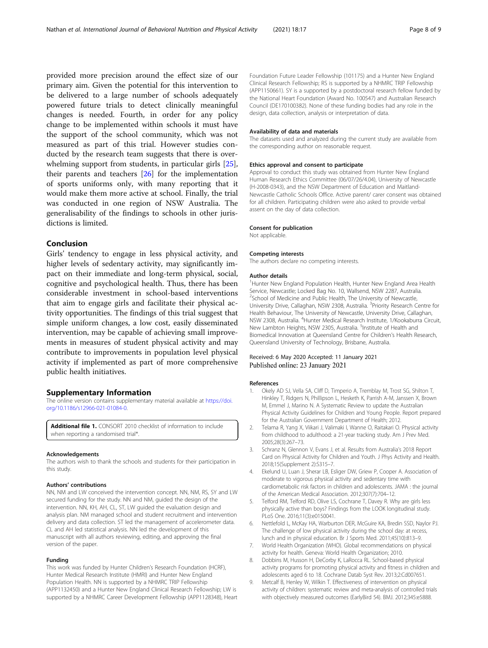<span id="page-7-0"></span>provided more precision around the effect size of our primary aim. Given the potential for this intervention to be delivered to a large number of schools adequately powered future trials to detect clinically meaningful changes is needed. Fourth, in order for any policy change to be implemented within schools it must have the support of the school community, which was not measured as part of this trial. However studies conducted by the research team suggests that there is overwhelming support from students, in particular girls [\[25](#page-8-0)], their parents and teachers [\[26\]](#page-8-0) for the implementation of sports uniforms only, with many reporting that it would make them more active at school. Finally, the trial was conducted in one region of NSW Australia. The generalisability of the findings to schools in other jurisdictions is limited.

## Conclusion

Girls' tendency to engage in less physical activity, and higher levels of sedentary activity, may significantly impact on their immediate and long-term physical, social, cognitive and psychological health. Thus, there has been considerable investment in school-based interventions that aim to engage girls and facilitate their physical activity opportunities. The findings of this trial suggest that simple uniform changes, a low cost, easily disseminated intervention, may be capable of achieving small improvements in measures of student physical activity and may contribute to improvements in population level physical activity if implemented as part of more comprehensive public health initiatives.

## Supplementary Information

The online version contains supplementary material available at [https://doi.](https://doi.org/10.1186/s12966-021-01084-0) [org/10.1186/s12966-021-01084-0.](https://doi.org/10.1186/s12966-021-01084-0)

**Additional file 1.** CONSORT 2010 checklist of information to include when reporting a randomised trial\*.

#### Acknowledgements

The authors wish to thank the schools and students for their participation in this study.

#### Authors' contributions

NN, NM and LW conceived the intervention concept. NN, NM, RS, SY and LW secured funding for the study. NN and NM, guided the design of the intervention. NN, KH, AH, CL, ST, LW guided the evaluation design and analysis plan. NM managed school and student recruitment and intervention delivery and data collection. ST led the management of accelerometer data. CL and AH led statistical analysis. NN led the development of this manuscript with all authors reviewing, editing, and approving the final version of the paper.

#### Funding

This work was funded by Hunter Children's Research Foundation (HCRF), Hunter Medical Research Institute (HMRI) and Hunter New England Population Health. NN is supported by a NHMRC TRIP Fellowship (APP1132450) and a Hunter New England Clinical Research Fellowship; LW is supported by a NHMRC Career Development Fellowship (APP1128348), Heart Foundation Future Leader Fellowship (101175) and a Hunter New England Clinical Research Fellowship; RS is supported by a NHMRC TRIP Fellowship (APP1150661). SY is a supported by a postdoctoral research fellow funded by the National Heart Foundation (Award No. 100547) and Australian Research Council (DE170100382). None of these funding bodies had any role in the design, data collection, analysis or interpretation of data.

#### Availability of data and materials

The datasets used and analyzed during the current study are available from the corresponding author on reasonable request.

#### Ethics approval and consent to participate

Approval to conduct this study was obtained from Hunter New England Human Research Ethics Committee (06/07/26/4.04), University of Newcastle (H-2008-0343), and the NSW Department of Education and Maitland-Newcastle Catholic Schools Office. Active parent/ carer consent was obtained for all children. Participating children were also asked to provide verbal assent on the day of data collection.

#### Consent for publication

Not applicable.

#### Competing interests

The authors declare no competing interests.

#### Author details

<sup>1</sup> Hunter New England Population Health, Hunter New England Area Health Service, Newcastle; Locked Bag No. 10, Wallsend, NSW 2287, Australia. <sup>2</sup>School of Medicine and Public Health, The University of Newcastle University Drive, Callaghan, NSW 2308, Australia. <sup>3</sup>Priority Research Centre for Health Behaviour, The University of Newcastle, University Drive, Callaghan, NSW 2308, Australia. <sup>4</sup>Hunter Medical Research Institute, 1/Kookaburra Circuit, New Lambton Heights, NSW 2305, Australia. <sup>5</sup>Institute of Health and Biomedical Innovation at Queensland Centre for Children's Health Research, Queensland University of Technology, Brisbane, Australia.

#### Received: 6 May 2020 Accepted: 11 January 2021 Published online: 23 January 2021

#### References

- 1. Okely AD SJ, Vella SA, Cliff D, Timperio A, Tremblay M, Trost SG, Shilton T, Hinkley T, Ridgers N, Phillipson L, Hesketh K, Parrish A-M, Janssen X, Brown M, Emmel J, Marino N. A Systematic Review to update the Australian Physical Activity Guidelines for Children and Young People. Report prepared for the Australian Government Department of Health; 2012.
- 2. Telama R, Yang X, Viikari J, Valimaki I, Wanne O, Raitakari O. Physical activity from childhood to adulthood: a 21-year tracking study. Am J Prev Med. 2005;28(3):267–73.
- 3. Schranz N, Glennon V, Evans J, et al. Results from Australia's 2018 Report Card on Physical Activity for Children and Youth. J Phys Activity and Health. 2018;15(Supplement 2):S315–7.
- 4. Ekelund U, Luan J, Sherar LB, Esliger DW, Griew P, Cooper A. Association of moderate to vigorous physical activity and sedentary time with cardiometabolic risk factors in children and adolescents. JAMA : the journal of the American Medical Association. 2012;307(7):704–12.
- 5. Telford RM, Telford RD, Olive LS, Cochrane T, Davey R. Why are girls less physically active than boys? Findings from the LOOK longitudinal study. PLoS One. 2016;11(3):e0150041.
- 6. Nettlefold L, McKay HA, Warburton DER, McGuire KA, Bredin SSD, Naylor PJ. The challenge of low physical activity during the school day: at recess, lunch and in physical education. Br J Sports Med. 2011;45(10):813–9.
- 7. World Health Organization (WHO). Global recommendations on physical activity for health. Geneva: World Health Organization; 2010.
- 8. Dobbins M, Husson H, DeCorby K, LaRocca RL. School-based physical activity programs for promoting physical activity and fitness in children and adolescents aged 6 to 18. Cochrane Datab Syst Rev. 2013;2:Cd007651.
- 9. Metcalf B, Henley W, Wilkin T. Effectiveness of intervention on physical activity of children: systematic review and meta-analysis of controlled trials with objectively measured outcomes (EarlyBird 54). BMJ. 2012;345:e5888.